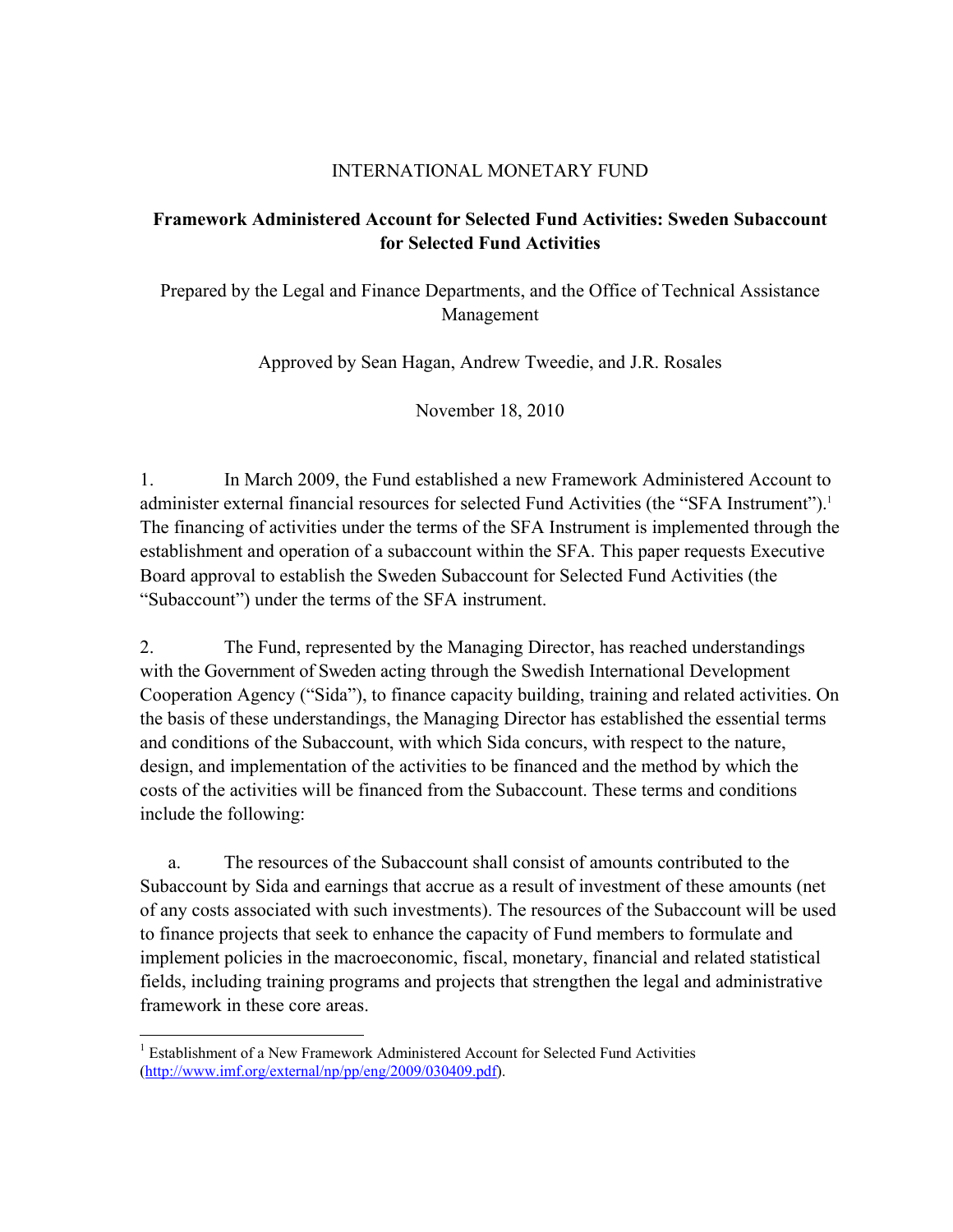## INTERNATIONAL MONETARY FUND

## **Framework Administered Account for Selected Fund Activities: Sweden Subaccount for Selected Fund Activities**

Prepared by the Legal and Finance Departments, and the Office of Technical Assistance Management

Approved by Sean Hagan, Andrew Tweedie, and J.R. Rosales

November 18, 2010

1. In March 2009, the Fund established a new Framework Administered Account to administer external financial resources for selected Fund Activities (the "SFA Instrument").<sup>1</sup> The financing of activities under the terms of the SFA Instrument is implemented through the establishment and operation of a subaccount within the SFA. This paper requests Executive Board approval to establish the Sweden Subaccount for Selected Fund Activities (the "Subaccount") under the terms of the SFA instrument.

2. The Fund, represented by the Managing Director, has reached understandings with the Government of Sweden acting through the Swedish International Development Cooperation Agency ("Sida"), to finance capacity building, training and related activities. On the basis of these understandings, the Managing Director has established the essential terms and conditions of the Subaccount, with which Sida concurs, with respect to the nature, design, and implementation of the activities to be financed and the method by which the costs of the activities will be financed from the Subaccount. These terms and conditions include the following:

 a. The resources of the Subaccount shall consist of amounts contributed to the Subaccount by Sida and earnings that accrue as a result of investment of these amounts (net of any costs associated with such investments). The resources of the Subaccount will be used to finance projects that seek to enhance the capacity of Fund members to formulate and implement policies in the macroeconomic, fiscal, monetary, financial and related statistical fields, including training programs and projects that strengthen the legal and administrative framework in these core areas.

 $\overline{a}$ 

<sup>&</sup>lt;sup>1</sup> Establishment of a New Framework Administered Account for Selected Fund Activities (http://www.imf.org/external/np/pp/eng/2009/030409.pdf).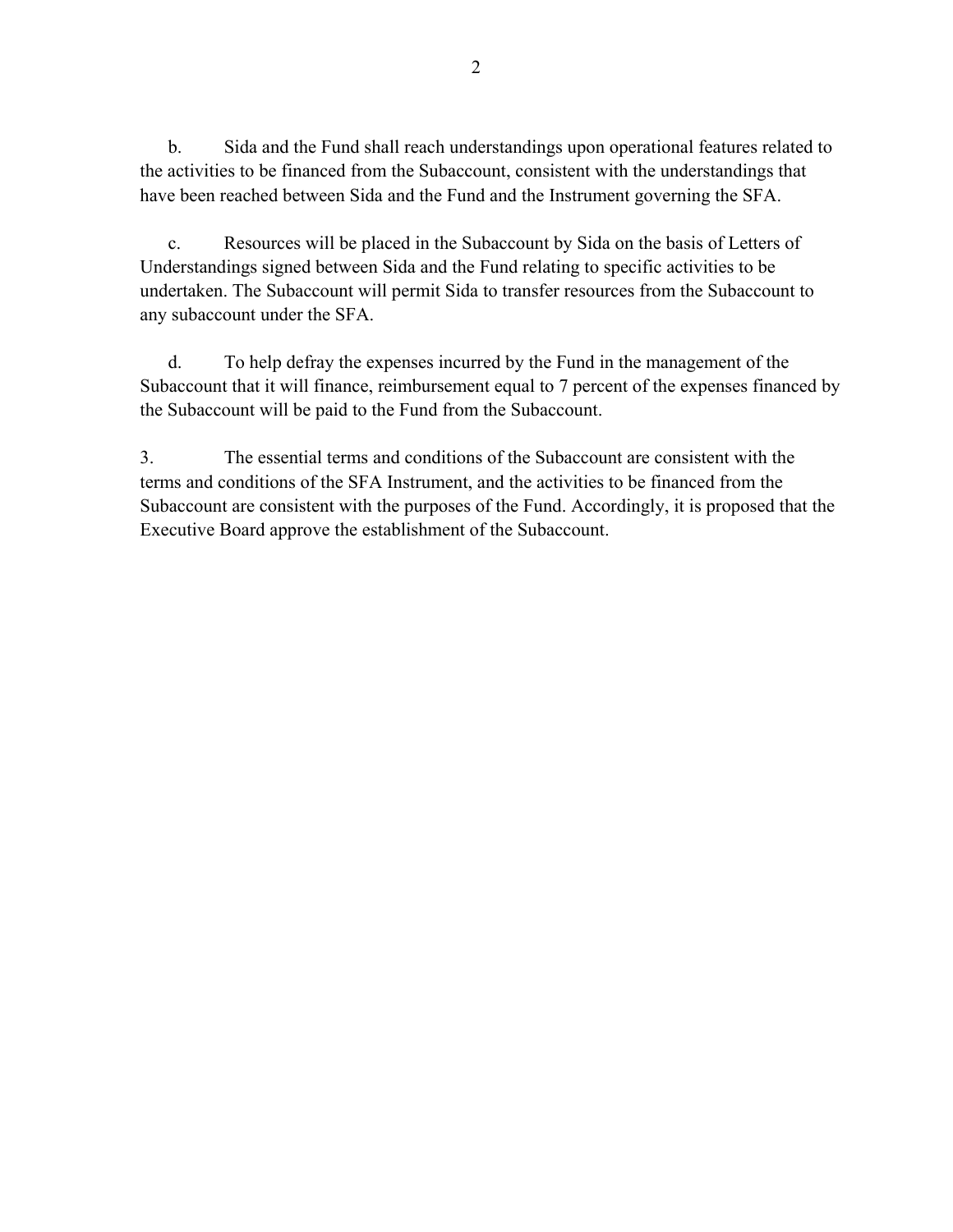b. Sida and the Fund shall reach understandings upon operational features related to the activities to be financed from the Subaccount, consistent with the understandings that have been reached between Sida and the Fund and the Instrument governing the SFA.

 c. Resources will be placed in the Subaccount by Sida on the basis of Letters of Understandings signed between Sida and the Fund relating to specific activities to be undertaken. The Subaccount will permit Sida to transfer resources from the Subaccount to any subaccount under the SFA.

 d. To help defray the expenses incurred by the Fund in the management of the Subaccount that it will finance, reimbursement equal to 7 percent of the expenses financed by the Subaccount will be paid to the Fund from the Subaccount.

3. The essential terms and conditions of the Subaccount are consistent with the terms and conditions of the SFA Instrument, and the activities to be financed from the Subaccount are consistent with the purposes of the Fund. Accordingly, it is proposed that the Executive Board approve the establishment of the Subaccount.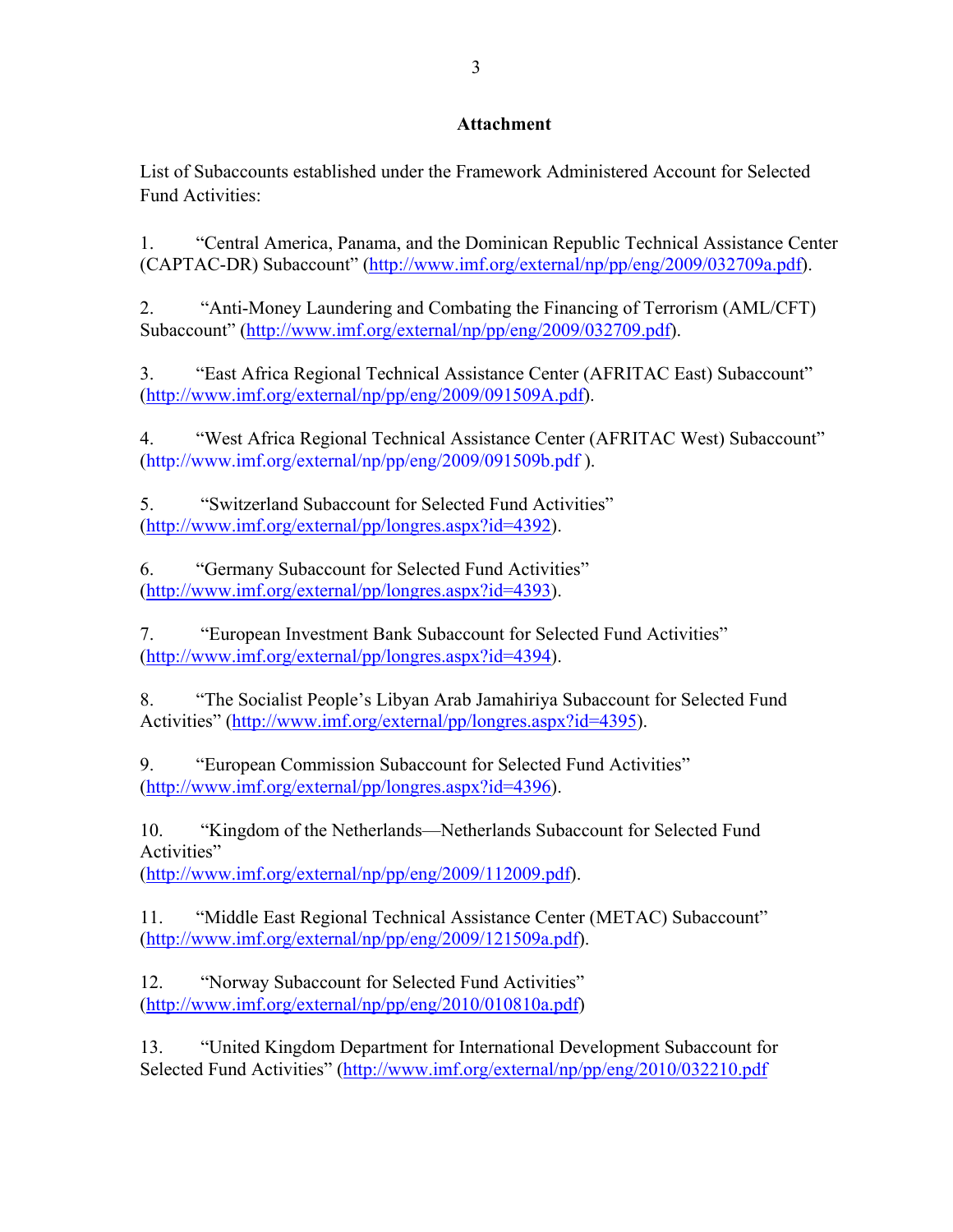## **Attachment**

List of Subaccounts established under the Framework Administered Account for Selected Fund Activities:

1. "Central America, Panama, and the Dominican Republic Technical Assistance Center (CAPTAC-DR) Subaccount" (http://www.imf.org/external/np/pp/eng/2009/032709a.pdf).

2. "Anti-Money Laundering and Combating the Financing of Terrorism (AML/CFT) Subaccount" (http://www.imf.org/external/np/pp/eng/2009/032709.pdf).

3. "East Africa Regional Technical Assistance Center (AFRITAC East) Subaccount" (http://www.imf.org/external/np/pp/eng/2009/091509A.pdf).

4. "West Africa Regional Technical Assistance Center (AFRITAC West) Subaccount" (http://www.imf.org/external/np/pp/eng/2009/091509b.pdf ).

5. "Switzerland Subaccount for Selected Fund Activities" (http://www.imf.org/external/pp/longres.aspx?id=4392).

6. "Germany Subaccount for Selected Fund Activities" (http://www.imf.org/external/pp/longres.aspx?id=4393).

7. "European Investment Bank Subaccount for Selected Fund Activities" (http://www.imf.org/external/pp/longres.aspx?id=4394).

8. "The Socialist People's Libyan Arab Jamahiriya Subaccount for Selected Fund Activities" (http://www.imf.org/external/pp/longres.aspx?id=4395).

9. "European Commission Subaccount for Selected Fund Activities" (http://www.imf.org/external/pp/longres.aspx?id=4396).

10. "Kingdom of the Netherlands—Netherlands Subaccount for Selected Fund Activities"

(http://www.imf.org/external/np/pp/eng/2009/112009.pdf).

11. "Middle East Regional Technical Assistance Center (METAC) Subaccount" (http://www.imf.org/external/np/pp/eng/2009/121509a.pdf).

12. "Norway Subaccount for Selected Fund Activities" (http://www.imf.org/external/np/pp/eng/2010/010810a.pdf)

13. "United Kingdom Department for International Development Subaccount for Selected Fund Activities" (http://www.imf.org/external/np/pp/eng/2010/032210.pdf